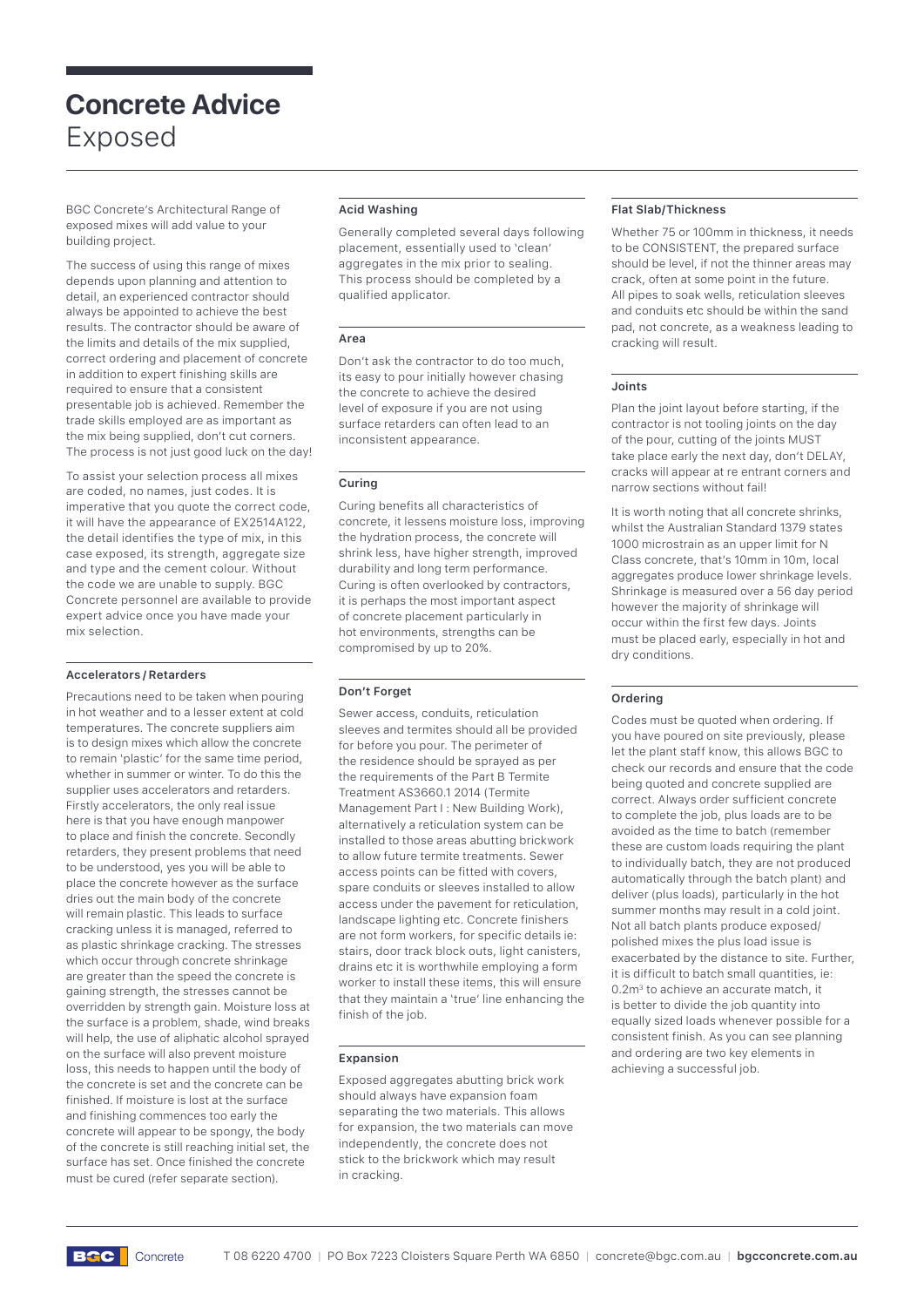# **Concrete Advice**  Exposed

BGC Concrete's Architectural Range of exposed mixes will add value to your building project.

The success of using this range of mixes depends upon planning and attention to detail, an experienced contractor should always be appointed to achieve the best results. The contractor should be aware of the limits and details of the mix supplied, correct ordering and placement of concrete in addition to expert finishing skills are required to ensure that a consistent presentable job is achieved. Remember the trade skills employed are as important as the mix being supplied, don't cut corners. The process is not just good luck on the day!

To assist your selection process all mixes are coded, no names, just codes. It is imperative that you quote the correct code, it will have the appearance of EX2514A122, the detail identifies the type of mix, in this case exposed, its strength, aggregate size and type and the cement colour. Without the code we are unable to supply. BGC Concrete personnel are available to provide expert advice once you have made your mix selection.

## **Accelerators / Retarders**

Precautions need to be taken when pouring in hot weather and to a lesser extent at cold temperatures. The concrete suppliers aim is to design mixes which allow the concrete to remain 'plastic' for the same time period, whether in summer or winter. To do this the supplier uses accelerators and retarders. Firstly accelerators, the only real issue here is that you have enough manpower to place and finish the concrete. Secondly retarders, they present problems that need to be understood, yes you will be able to place the concrete however as the surface dries out the main body of the concrete will remain plastic. This leads to surface cracking unless it is managed, referred to as plastic shrinkage cracking. The stresses which occur through concrete shrinkage are greater than the speed the concrete is gaining strength, the stresses cannot be overridden by strength gain. Moisture loss at the surface is a problem, shade, wind breaks will help, the use of aliphatic alcohol sprayed on the surface will also prevent moisture loss, this needs to happen until the body of the concrete is set and the concrete can be finished. If moisture is lost at the surface and finishing commences too early the concrete will appear to be spongy, the body of the concrete is still reaching initial set, the surface has set. Once finished the concrete must be cured (refer separate section).

# **Acid Washing**

Generally completed several days following placement, essentially used to 'clean' aggregates in the mix prior to sealing. This process should be completed by a qualified applicator.

## **Area**

Don't ask the contractor to do too much, its easy to pour initially however chasing the concrete to achieve the desired level of exposure if you are not using surface retarders can often lead to an inconsistent appearance.

## **Curing**

Curing benefits all characteristics of concrete, it lessens moisture loss, improving the hydration process, the concrete will shrink less, have higher strength, improved durability and long term performance. Curing is often overlooked by contractors, it is perhaps the most important aspect of concrete placement particularly in hot environments, strengths can be compromised by up to 20%.

# **Don't Forget**

Sewer access, conduits, reticulation sleeves and termites should all be provided for before you pour. The perimeter of the residence should be sprayed as per the requirements of the Part B Termite Treatment AS3660.1 2014 (Termite Management Part I : New Building Work), alternatively a reticulation system can be installed to those areas abutting brickwork to allow future termite treatments. Sewer access points can be fitted with covers, spare conduits or sleeves installed to allow access under the pavement for reticulation, landscape lighting etc. Concrete finishers are not form workers, for specific details ie: stairs, door track block outs, light canisters, drains etc it is worthwhile employing a form worker to install these items, this will ensure that they maintain a 'true' line enhancing the finish of the job.

## **Expansion**

Exposed aggregates abutting brick work should always have expansion foam separating the two materials. This allows for expansion, the two materials can move independently, the concrete does not stick to the brickwork which may result in cracking.

## **Flat Slab/Thickness**

Whether 75 or 100mm in thickness, it needs to be CONSISTENT, the prepared surface should be level, if not the thinner areas may crack, often at some point in the future. All pipes to soak wells, reticulation sleeves and conduits etc should be within the sand pad, not concrete, as a weakness leading to cracking will result.

## **Joints**

Plan the joint layout before starting, if the contractor is not tooling joints on the day of the pour, cutting of the joints MUST take place early the next day, don't DELAY, cracks will appear at re entrant corners and narrow sections without fail!

It is worth noting that all concrete shrinks, whilst the Australian Standard 1379 states 1000 microstrain as an upper limit for N Class concrete, that's 10mm in 10m, local aggregates produce lower shrinkage levels. Shrinkage is measured over a 56 day period however the majority of shrinkage will occur within the first few days. Joints must be placed early, especially in hot and dry conditions.

# **Ordering**

Codes must be quoted when ordering. If you have poured on site previously, please let the plant staff know, this allows BGC to check our records and ensure that the code being quoted and concrete supplied are correct. Always order sufficient concrete to complete the job, plus loads are to be avoided as the time to batch (remember these are custom loads requiring the plant to individually batch, they are not produced automatically through the batch plant) and deliver (plus loads), particularly in the hot summer months may result in a cold joint. Not all batch plants produce exposed/ polished mixes the plus load issue is exacerbated by the distance to site. Further, it is difficult to batch small quantities, ie: 0.2m<sup>3</sup> to achieve an accurate match, it is better to divide the job quantity into equally sized loads whenever possible for a consistent finish. As you can see planning and ordering are two key elements in achieving a successful job.